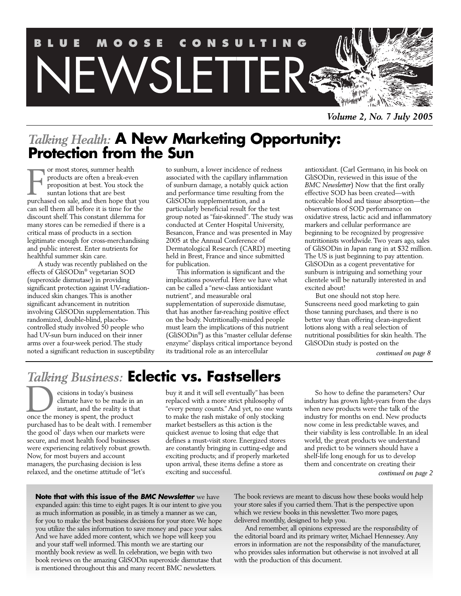

*Volume 2, No. 7 July 2005*

# *Talking Health:* **A New Marketing Opportunity: Protection from the Sun**

or most stores, summer health products are often a break-even proposition at best. You stock the suntan lotions that are best or most stores, summer health<br>products are often a break-even<br>proposition at best. You stock the<br>suntan lotions that are best<br>purchased on sale, and then hope that you can sell them all before it is time for the discount shelf. This constant dilemma for many stores can be remedied if there is a critical mass of products in a section legitimate enough for cross-merchandising and public interest. Enter nutrients for healthful summer skin care.

A study was recently published on the effects of GliSODin® vegetarian SOD (superoxide dismutase) in providing significant protection against UV-radiationinduced skin changes. This is another significant advancement in nutrition involving GliSODin supplementation. This randomized, double-blind, placebocontrolled study involved 50 people who had UV-sun burn induced on their inner arms over a four-week period. The study noted a significant reduction in susceptibility to sunburn, a lower incidence of redness associated with the capillary inflammation of sunburn damage, a notably quick action and performance time resulting from the GliSODin supplementation, and a particularly beneficial result for the test group noted as "fair-skinned". The study was conducted at Center Hospital University, Besancon, France and was presented in May 2005 at the Annual Conference of Dermatological Research (CARD) meeting held in Brest, France and since submitted for publication.

This information is significant and the implications powerful. Here we have what can be called a "new-class antioxidant nutrient", and measurable oral supplementation of superoxide dismutase, that has another far-reaching positive effect on the body. Nutritionally-minded people must learn the implications of this nutrient (GliSODin® ) as this "master cellular defense enzyme" displays critical importance beyond its traditional role as an intercellular

antioxidant. (Carl Germano, in his book on GliSODin, reviewed in this issue of the *BMC Newsletter*) Now that the first orally effective SOD has been created—with noticeable blood and tissue absorption—the observations of SOD performance on oxidative stress, lactic acid and inflammatory markers and cellular performance are beginning to be recognized by progressive nutritionists worldwide. Two years ago, sales of GliSODin in Japan rang in at \$32 million. The US is just beginning to pay attention. GliSODin as a cogent preventative for sunburn is intriguing and something your clientele will be naturally interested in and excited about!

But one should not stop here. Sunscreens need good marketing to gain those tanning purchases, and there is no better way than offering clean-ingredient lotions along with a real selection of nutritional possibilities for skin health. The GliSODin study is posted on the

*continued on page 8*

# *Talking Business:* **Eclectic vs. Fastsellers**

ecisions in today's business climate have to be made in an instant, and the reality is that cisions in today's business<br>climate have to be made in<br>instant, and the reality is the<br>once the money is spent, the product purchased has to be dealt with. I remember the good ol' days when our markets were secure, and most health food businesses were experiencing relatively robust growth. Now, for most buyers and account managers, the purchasing decision is less relaxed, and the onetime attitude of "let's

buy it and it will sell eventually" has been replaced with a more strict philosophy of "every penny counts." And yet, no one wants to make the rash mistake of only stocking market bestsellers as this action is the quickest avenue to losing that edge that defines a must-visit store. Energized stores are constantly bringing in cutting-edge and exciting products; and if properly marketed upon arrival, these items define a store as exciting and successful.

So how to define the parameters? Our industry has grown light-years from the days when new products were the talk of the industry for months on end. New products now come in less predictable waves, and their viability is less controllable. In an ideal world, the great products we understand and predict to be winners should have a shelf-life long enough for us to develop them and concentrate on creating their

*continued on page 2*

**Note that with this issue of the** *BMC Newsletter* we have expanded again: this time to eight pages. It is our intent to give you as much information as possible, in as timely a manner as we can, for you to make the best business decisions for your store. We hope you utilize the sales information to save money and pace your sales. And we have added more content, which we hope will keep you and your staff well informed. This month we are starting our monthly book review as well. In celebration, we begin with two book reviews on the amazing GliSODin superoxide dismutase that is mentioned throughout this and many recent BMC newsletters.

The book reviews are meant to discuss how these books would help your store sales if you carried them. That is the perspective upon which we review books in this newsletter. Two more pages, delivered monthly, designed to help you.

And remember, all opinions expressed are the responsibility of the editorial board and its primary writer, Michael Hennessey. Any errors in information are not the responsibility of the manufacturer, who provides sales information but otherwise is not involved at all with the production of this document.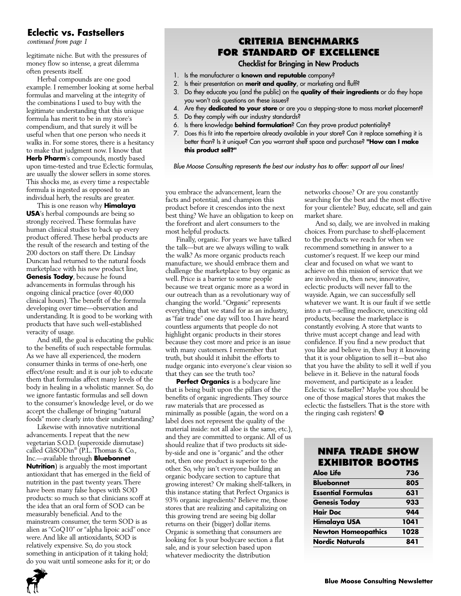# **Eclectic vs. Fastsellers**

*continued from page 1*

legitimate niche. But with the pressures of money flow so intense, a great dilemma often presents itself.

Herbal compounds are one good example. I remember looking at some herbal formulas and marveling at the integrity of the combinations I used to buy with the legitimate understanding that this unique formula has merit to be in my store's compendium, and that surely it will be useful when that one person who needs it walks in. For some stores, there is a hesitancy to make that judgment now. I know that **Herb Pharm**'s compounds, mostly based upon time-tested and true Eclectic formulas, are usually the slower sellers in some stores. This shocks me, as every time a respectable formula is ingested as opposed to an individual herb, the results are greater.

This is one reason why **Himalaya USA**'s herbal compounds are being so strongly received. These formulas have human clinical studies to back up every product offered. These herbal products are the result of the research and testing of the 200 doctors on staff there. Dr. Lindsay Duncan had returned to the natural foods marketplace with his new product line, **Genesis Today**, because he found advancements in formulas through his ongoing clinical practice (over 40,000 clinical hours). The benefit of the formula developing over time—observation and understanding. It is good to be working with products that have such well-established veracity of usage.

And still, the goal is educating the public to the benefits of such respectable formulas. As we have all experienced, the modern consumer thinks in terms of one-herb, one effect/one result: and it is our job to educate them that formulas affect many levels of the body in healing in a wholistic manner. So, do we ignore fantastic formulas and sell down to the consumer's knowledge level, or do we accept the challenge of bringing "natural foods" more clearly into their understanding?

Likewise with innovative nutritional advancements. I repeat that the new vegetarian S.O.D. (superoxide dismutase) called GliSODin® (P.L. Thomas & Co., Inc.—available through **Bluebonnet Nutrition**) is arguably the most important antioxidant that has emerged in the field of nutrition in the past twenty years. There have been many false hopes with SOD products: so much so that clinicians scoff at the idea that an oral form of SOD can be measurably beneficial. And to the mainstream consumer, the term SOD is as alien as "CoQ10" or "alpha lipoic acid" once were. And like all antioxidants, SOD is relatively expensive. So, do you stock something in anticipation of it taking hold; do you wait until someone asks for it; or do

# **CRITERIA BENCHMARKS FOR STANDARD OF EXCELLENCE**

### **Checklist for Bringing in New Products**

- 1. Is the manufacturer a **known and reputable** company?
- 2. Is their presentation on **merit and quality**, or marketing and fluff?
- 3. Do they educate you (and the public) on the **quality of their ingredients** or do they hope you won't ask questions on these issues?
- 4. Are they **dedicated to your store** or are you a stepping-stone to mass market placement?
- 5. Do they comply with our industry standards?
- 6. Is there knowledge **behind formulation**? Can they prove product potentiality?
- 7. Does this fit into the repertoire already available in your store? Can it replace something it is better than? Is it unique? Can you warrant shelf space and purchase? **"How can I make this product sell?"**

*Blue Moose Consulting represents the best our industry has to offer: support all our lines!*

you embrace the advancement, learn the facts and potential, and champion this product before it crescendos into the next best thing? We have an obligation to keep on the forefront and alert consumers to the most helpful products.

Finally, organic. For years we have talked the talk—but are we always willing to walk the walk? As more organic products reach manufacture, we should embrace them and challenge the marketplace to buy organic as well. Price is a barrier to some people because we treat organic more as a word in our outreach than as a revolutionary way of changing the world. "*Organic*" represents everything that we stand for as an industry, as "fair trade" one day will too. I have heard countless arguments that people do not highlight organic products in their stores because they cost more and price is an issue with many customers. I remember that truth, but should it inhibit the efforts to nudge organic into everyone's clear vision so that they can see the truth too?

**Perfect Organics** is a bodycare line that is being built upon the pillars of the benefits of organic ingredients. They source raw materials that are processed as minimally as possible (again, the word on a label does not represent the quality of the material inside: not all aloe is the same, etc.), and they are committed to organic. All of us should realize that if two products sit sideby-side and one is "organic" and the other not, then one product is superior to the other. So, why isn't everyone building an organic bodycare section to capture that growing interest? Or making shelf-talkers, in this instance stating that Perfect Organics is 93% organic ingredients? Believe me, those stores that are realizing and capitalizing on this growing trend are seeing big dollar returns on their (bigger) dollar items. Organic is something that consumers are looking for. Is your bodycare section a flat sale, and is your selection based upon whatever mediocrity the distribution

networks choose? Or are you constantly searching for the best and the most effective for your clientele? Buy, educate, sell and gain market share.

And so, daily, we are involved in making choices. From purchase to shelf-placement to the products we reach for when we recommend something in answer to a customer's request. If we keep our mind clear and focused on what we want to achieve on this mission of service that we are involved in, then new, innovative, eclectic products will never fall to the wayside. Again, we can successfully sell whatever we want. It is our fault if we settle into a rut—selling mediocre, unexciting old products, because the marketplace is constantly evolving. A store that wants to thrive must accept change and lead with confidence. If you find a new product that you like and believe in, then buy it knowing that it is your obligation to sell it—but also that you have the ability to sell it well if you believe in it. Believe in the natural foods movement, and participate as a leader. Eclectic vs. fastseller? Maybe you should be one of those magical stores that makes the eclectic the fastsellers. That is the store with the ringing cash registers! \*

# **NNFA TRADE SHOW EXHIBITOR BOOTHS**

| Aloe Life                  | 736  |
|----------------------------|------|
| <b>Bluebonnet</b>          | 805  |
| <b>Essential Formulas</b>  | 631  |
| <b>Genesis Today</b>       | 933  |
| <b>Hair Doc</b>            | 944  |
| Himalaya USA               | 1041 |
| <b>Newton Homeopathics</b> | 1028 |
| <b>Nordic Naturals</b>     | 841  |

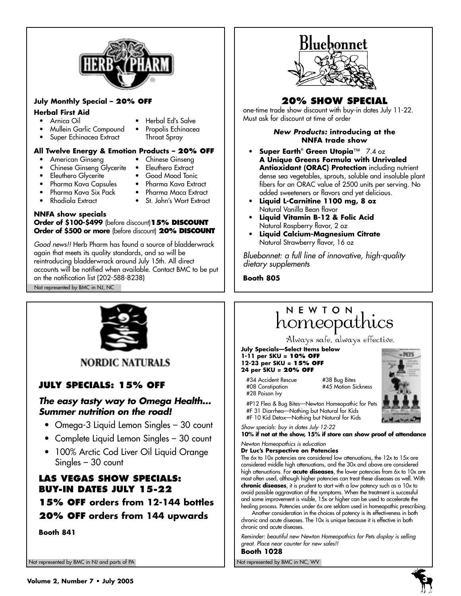

### **July Monthly Special – 20% OFF**

### **Herbal First Aid**

- - Mullein Garlic Compound
	- Super Echinacea Extract Throat Spray
- Arnica Oil Herbal Ed's Salve
	-

### **All Twelve Energy & Emotion Products – 20% OFF**

- 
- American Ginseng Chinese Ginseng
	- Chinese Ginseng Glycerite Eleuthero Extract
	- **Eleuthero Glycerite**
- 
- Pharma Kava Capsules Pharma Kava Extract
- 
- 
- Pharma Kava Six Pack Pharma Maca Extract • St. John's Wort Extract
- **NNFA show specials Order of \$100-\$499** (before discount)**15% DISCOUNT Order of \$500 or more** (before discount) **20% DISCOUNT**

*Good news!!* Herb Pharm has found a source of bladderwrack again that meets its quality standards, and so will be reintroducing bladderwrack around July 15th. All direct accounts will be notified when available. Contact BMC to be put on the notification list (202-588-8238) Not represented by BMC in NJ, NC



**NORDIC NATURALS** 

# **JULY SPECIALS: 15% OFF**

# *The easy tasty way to Omega Health… Summer nutrition on the road!*

- Omega-3 Liquid Lemon Singles 30 count
- Complete Liquid Lemon Singles 30 count
- 100% Arctic Cod Liver Oil Liquid Orange Singles – 30 count

# **LAS VEGAS SHOW SPECIALS: BUY-IN DATES JULY 15-22**

**15% OFF orders from 12-144 bottles 20% OFF orders from 144 upwards**

**Booth 841**

Not represented by BMC in NJ and parts of PA Not represented by BMC in NC, WV Not represented by BMC in NC, WV



# **20% SHOW SPECIAL**

one-time trade show discount with buy-in dates July 11-22. Must ask for discount at time of order

### *New Products:* **introducing at the NNFA trade show**

- **Super Earth® Green Utopia**™ 7.4 oz **A Unique Greens Formula with Unrivaled Antioxidant (ORAC) Protection** including nutrient dense sea vegetables, sprouts, soluble and insoluble plant fibers for an ORAC value of 2500 units per serving. No added sweeteners or flavors and yet delicious.
- **Liquid L-Carnitine 1100 mg, 8 oz** Natural Vanilla Bean flavor
- **Liquid Vitamin B-12 & Folic Acid** Natural Raspberry flavor, 2 oz
- **Liquid Calcium-Magnesium Citrate** Natural Strawberry flavor, 16 oz

*Bluebonnet: a full line of innovative, high-quality dietary supplements* 

**Booth 805**

# NEWTON homeopathics

Always safe, always effective.

**July Specials—Select Items below 1-11 per SKU = 10% OFF 12-23 per SKU = 15% OFF 24 per SKU = 20% OFF**

#34 Accident Rescue #38 Bug Bites #08 Constipation #45 Motion Sickness #28 Poison Ivy



#P12 Flea & Bug Bites—Newton Homeopathic for Pets #F 31 Diarrhea—Nothing but Natural for Kids #F 10 Kid Detox—Nothing but Natural for Kids

*Show specials: buy in dates July 12-22* **10% if not at the show, 15% if store can show proof of attendance**

#### *Newton Homeopathics is education* **Dr Luc's Perspective on Potencies**

The 6x to 10x potencies are considered low attenuations, the 12x to 15x are considered middle high attenuations, and the 30x and above are considered high attenuations. For **acute diseases**, the lower potencies from 6x to 10x are most often used, although higher potencies can treat these diseases as well. With **chronic diseases**, it is prudent to start with a low potency such as a 10x to avoid possible aggravation of the symptoms. When the treatment is successful and some improvement is visible,  $15x$  or higher can be used to accelerate the healing process. Potencies under 6x are seldom used in homeopathic prescribing.

Another consideration in the choices of potency is its effectiveness in both chronic and acute diseases. The 10x is unique because it is effective in both chronic and acute diseases.

*Reminder: beautiful new Newton Homeopathics for Pets display is selling great. Place near counter for new sales!!*

**Booth 1028**



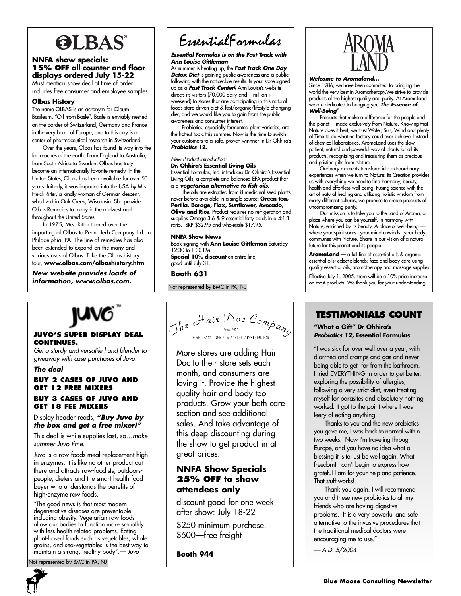# **OLBAS**

### **NNFA show specials: 15% OFF all counter and floor displays ordered July 15-22**

Must mention show deal at time of order includes free consumer and employee samples

### **Olbas History**

The name OLBAS is an acronym for Oleum Basileum, "Oil from Basle". Basle is enviably nestled on the border of Switzerland, Germany and France in the very heart of Europe, and to this day is a center of pharmaceutical research in Switzerland.

Over the years, Olbas has found its way into the far reaches of the earth. From England to Australia, from South Africa to Sweden, Olbas has truly become an internationally favorite remedy. In the United States, Olbas has been available for over 50 years. Initially, it was imported into the USA by Mrs. Heidi Ritter, a kindly woman of German descent, who lived in Oak Creek, Wisconsin. She provided Olbas Remedies to many in the midwest and throughout the United States.

In 1975, Mrs. Ritter turned over the importing of Olbas to Penn Herb Company Ltd. in Philadelphia, PA. The line of remedies has also been extended to expand on the many and various uses of Olbas. Take the Olbas history tour, **www.olbas.com/olbashistory.htm**

*New website provides loads of information, www.olbas.com.*

### **JUVO'S SUPER DISPLAY DEAL CONTINUES.**

*Get a sturdy and versatile hand blender to giveaway with case purchases of Juvo.* 

### *The deal*

### **BUY 2 CASES OF JUVO AND GET 12 FREE MIXERS BUY 3 CASES OF JUVO AND**

# **GET 18 FEE MIXERS**  Display header reads, *"Buy Juvo by*

*the box and get a free mixer!"* This deal is while supplies last, so…*make summer Juvo time.*

Juvo is a raw foods meal replacement high in enzymes. It is like no other product out there and attracts raw-foodists, outdoorspeople, dieters and the smart health food buyer who understands the benefits of high-enzyme raw foods.

"The good news is that most modern degenerative diseases are preventable including obesity. Vegetarian raw foods allow our bodies to function more smoothly with less health related problems. Eating plant-based foods such as vegetables, whole grains, and sea-vegetables is the best way to maintain a strong, healthy body".*— Juvo*

ot represented by BMC in PA, NJ



# EssentialFormulas

#### *Essential Formulas is on the Fast Track with Ann Louise Gittleman*

As summer is heating up, the *Fast Track One Day Detox Diet* is gaining public awareness and a public following with the noticeable results. Is your store signed up as a *Fast Track Center*? Ann Louise's website directs its visitors (70,000 daily and 1 million + weekend) to stores that are participating in this natural foods-store-driven diet & fast/organic/lifestyle-changing diet, and we would like you to gain from the public awareness and consumer interest.

Probiotics, especially fermented plant varieties, are the hottest topic this summer. Now is the time to switch your customers to a safe, proven winnner in Dr Ohhira's *Probiotics 12.*

#### *New Product Introduction:* **Dr. Ohhira's Essential Living Oils**

Essential Formulas, Inc. introduces Dr. Ohhira's Essential Living Oils, a complete and balanced EFA product that is a *vegetarian alternative to fish oils*.

The oils are extracted from 8 medicinal seed plants never before available in a single source: **Green tea, Perilla, Borage, Flax, Sunflower, Avocado, Olive and Rice**. Product requires no refrigeration and supplies Omega 3,6 & 9 essential fatty acids in a 4:1:1 ratio. SRP \$32.95 and wholesale \$17.95.

### **NNFA Show News**

Book signing with **Ann Louise Gittleman** Saturday 12:30 to 1:30 PM.

**Special 10% discount** on entire line; good until July 31.

**Booth 631**

Not represented by BMC in PA, NJ



More stores are adding Hair Doc to their store sets each month, and consumers are loving it. Provide the highest quality hair and body tool products. Grow your bath care section and see additional sales. And take advantage of this deep discounting during the show to get product in at great prices.

# **NNFA Show Specials 25% OFF to show attendees only**

discount good for one week after show: July 18-22

\$250 minimum purchase. \$500—free freight

**Booth 944**



### *Welcome to Aromaland...*

Since 1986, we have been committed to bringing the world the very best in Aromatherapy.We strive to provide products of the highest quality and purity. At AromaLand we are dedicated to bringing you *The Essence of Well-Being*®

Products that make a difference for the people and the planet— made exclusively from Nature. Knowing that Nature does it best, we trust Water, Sun, Wind and plenty of Time to do what no factory could ever achieve. Instead of chemical laboratories, AromaLand uses the slow, patient, natural and powerful way of plants for all its products, recognizing and treasuring them as precious and pristine gifts from Nature.

Ordinary moments transform into extraordinary experiences when we turn to Nature: Its Creation provides us with everything we need to find harmony, beauty, health and effortless well-being. Fusing science with the art of natural healing and utilizing holistic wisdom from many different cultures, we promise to create products of uncompromising purity.

Our mission is to take you to the Land of Aroma, a place where you can be yourself, in harmony with Nature, enriched by its beauty. A place of well-being where your spirit soars...your mind unwinds...your body communes with Nature. Share in our vision of a natural future for this planet and its people.

**AromaLand** — a full line of essential oils & organic essential oils; eclectic blends; face and body care using quality essential oils, aromatherapy and massage supplies

Effective July 1, 2005, there will be a 10% price increase<br>on most products. We thank you for your understanding.

# **TESTIMONIALS COUNT**

**"What a Gift" Dr Ohhira's**  *Probiotics 12***, Essential Formulas**

"I was sick for over well over a year, with diarrhea and cramps and gas and never being able to get far from the bathroom. I tried EVERYTHING in order to get better, exploring the possibility of allergies, following a very strict diet, even treating myself for parasites and absolutely nothing worked. It got to the point where I was leery of eating anything.

Thanks to you and the new probiotics you gave me, I was back to normal within two weeks. Now I'm traveling through Europe, and you have no idea what a blessing it is to just be well again. What freedom! I can't begin to express how grateful I am for your help and patience. That stuff works!

Thank you again. I will recommend you and these new probiotics to all my friends who are having digestive problems. It is a very powerful and safe alternative to the invasive procedures that the traditional medical doctors were encouraging me to use."

*— A.D. 5/2004*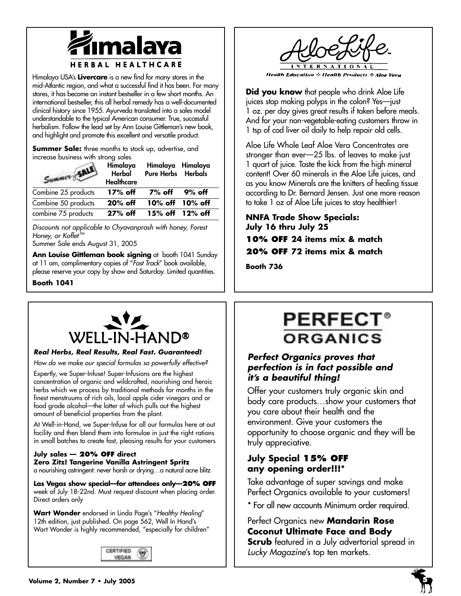

Himalaya USA's **Livercare** is a new find for many stores in the mid-Atlantic region, and what a successful find it has been. For many stores, it has become an instant bestseller in a few short months. An international bestseller, this all herbal remedy has a well-documented clinical history since 1955. Ayurveda translated into a sales model understandable to the typical American consumer. True, successful herbalism. Follow the lead set by Ann Louise Gittleman's new book, and highlight and promote this excellent and versatile product.

**Summer Sale:** three months to stock up, advertise, and increase business with strong sales

| Summer SA           | Himalaya<br>Herbal<br><b>Healthcare</b> | Himalaya Himalaya<br><b>Pure Herbs</b> Herbals |  |
|---------------------|-----------------------------------------|------------------------------------------------|--|
| Combine 25 products | 17% off                                 | 7% off 9% off                                  |  |
| Combine 50 products | $20\%$ off                              | 10% off 10% off                                |  |
| combine 75 products | 27% off                                 | 15% off 12% off                                |  |

*Discounts not applicable to Chyavanprash with honey, Forest Honey, or Koflet TM*

Summer Sale ends August 31, 2005

**Ann Louise Gittleman book signing** at booth 1041 Sunday at 11 am, complimentary copies of "*Fast Track*" book available, please reserve your copy by show end Saturday. Limited quantities.

**Booth 1041**



**Health Education :: Health Products :: Aloe Vera** 

**Did you know** that people who drink Aloe Life juices stop making polyps in the colon? Yes—just 1 oz. per day gives great results if taken before meals. And for your non-vegetable-eating customers throw in 1 tsp of cod liver oil daily to help repair old cells.

Aloe Life Whole Leaf Aloe Vera Concentrates are stronger than ever—25 lbs. of leaves to make just 1 quart of juice. Taste the kick from the high mineral content! Over 60 minerals in the Aloe Life juices, and as you know Minerals are the knitters of healing tissue according to Dr. Bernard Jensen. Just one more reason to take 1 oz of Aloe Life juices to stay healthier!

**NNFA Trade Show Specials: July 16 thru July 25 10% OFF 24 items mix & match 20% OFF 72 items mix & match**

**Booth 736** 



## *Real Herbs, Real Results, Real Fast. Guaranteed!*

*How do we make our special formulas so powerfully effective?*

Expertly, we Super-Infuse! Super-Infusions are the highest concentration of organic and wildcrafted, nourishing and heroic herbs which we process by traditional methods for months in the finest menstruums of rich oils, local apple cider vinegars and or food grade alcohol—the latter of which pulls out the highest amount of beneficial properties from the plant.

At Well-in-Hand, we Super-Infuse for all our formulas here at out facility and then blend them into formulae in just the right rations in small batches to create fast, pleasing results for your customers

## **July sales — 20% OFF direct Zero Zitz! Tangerine Vanilla Astringent Spritz**

a nourishing astringent: never harsh or drying…a natural acne blitz

**Las Vegas show special—for attendees only—20% OFF** week of July 18-22nd. Must request discount when placing order. Direct orders only

**Wart Wonder** endorsed in Linda Page's "*Healthy Healing*" 12th edition, just published. On page 562, Well In Hand's Wart Wonder is highly recommended, "especially for children"



# **PERFECT® ORGANICS**

# *Perfect Organics proves that perfection is in fact possible and it's a beautiful thing!*

Offer your customers truly organic skin and body care products…show your customers that you care about their health and the environment. Give your customers the opportunity to choose organic and they will be truly appreciative.

# **July Special 15% OFF any opening order!!!\***

Take advantage of super savings and make Perfect Organics available to your customers!

\* For all new accounts Minimum order required.

Perfect Organics new **Mandarin Rose Coconut Ultimate Face and Body Scrub** featured in a July advertorial spread in *Lucky Magazine*'s top ten markets.

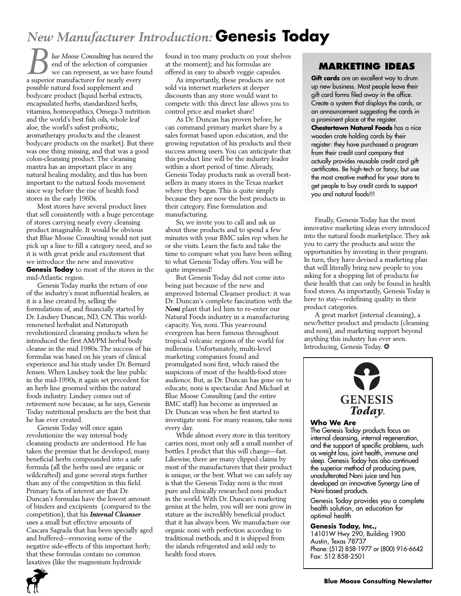# *New Manufacturer Introduction:* **Genesis Today**

*lue Moose Consulting* has neared the end of the selection of companies we can represent, as we have found a superior manufacturer for nearly every possible natural food supplement and bodycare product (liquid herbal extracts, encapsulated herbs, standardized herbs, vitamins, homeopathics, Omega-3 nutrition and the world's best fish oils, whole leaf aloe, the world's safest probiotic, aromatherapy products and the cleanest bodycare products on the market). But there was one thing missing, and that was a good colon-cleansing product. The cleansing mantra has an important place in any natural healing modality, and this has been important to the natural foods movement since way before the rise of health food stores in the early 1960s. *B Iue Moose Consulting* has neared the found in too many products on your shelves<br>
end of the selection of companies at the moment); and his formulas are **MARKETING IDEAS**<br>
we can represent, as we have found offered in

Most stores have several product lines that sell consistently with a huge percentage of stores carrying nearly every cleansing product imaginable. It would be obvious that Blue Moose Consulting would not just pick up a line to fill a category need, and so it is with great pride and excitement that we introduce the new and innovative **Genesis Today** to most of the stores in the mid-Atlantic region.

Genesis Today marks the return of one of the industry's most influential healers, as it is a line created by, selling the formulations of, and financially started by Dr. Lindsey Duncan, ND, CN. This worldrenowned herbalist and Naturopath revolutionized cleansing products when he introduced the first AM/PM herbal body cleanse in the mid 1980s. The success of his formulas was based on his years of clinical experience and his study under Dr. Bernard Jensen. When Lindsey took the line public in the mid-1990s, it again set precedent for an herb line groomed within the natural foods industry. Lindsey comes out of retirement now because, as he says, Genesis Today nutritional products are the best that he has ever created.

Genesis Today will once again revolutionize the way internal body cleansing products are understood. He has taken the premise that he developed, many beneficial herbs compounded into a safe formula (all the herbs used are organic or wildcrafted) and gone several steps further than any of the competition in this field. Primary facts of interest are that Dr. Duncan's formulas have the lowest amount of binders and excipients (compared to the competition), that his *Internal Cleanser* uses a small but effective amounts of Cascara Sagrada that has been specially aged and buffered—removing some of the negative side-effects of this important herb; that these formulas contain no common laxatives (like the magnesium hydroxide

found in too many products on your shelves at the moment); and his formulas are offered in easy to absorb veggie capsules.

As importantly, these products are not sold via internet marketers at deeper discounts than any store would want to compete with: this direct line allows you to control price and market share!

As Dr. Duncan has proven before, he can command primary market share by a sales format based upon education, and the growing reputation of his products and their success among users. You can anticipate that this product line will be the industry leader within a short period of time. Already, Genesis Today products rank as overall bestsellers in many stores in the Texas market where they began. This is quite simply because they are now the best products in their category. Fine formulation and manufacturing.

So, we invite you to call and ask us about these products and to spend a few minutes with your BMC sales rep when he or she visits. Learn the facts and take the time to compare what you have been selling to what Genesis Today offers. You will be quite impressed!

But Genesis Today did not come into being just because of the new and improved Internal Cleanser product: it was Dr. Duncan's complete fascination with the *Noni* plant that led him to re-enter our Natural Foods industry in a manufacturing capacity. Yes, noni. This year-round evergreen has been famous throughout tropical volcanic regions of the world for millennia. Unfortunately, multi-level marketing companies found and promulgated noni first, which raised the suspicions of most of the health-food store audience. But, as Dr. Duncan has gone on to educate, noni is spectacular. And Michael at Blue Moose Consulting (and the entire BMC staff) has become as impressed as Dr. Duncan was when he first started to investigate noni. For many reasons, take noni every day.

While almost every store in this territory carries noni, most only sell a small number of bottles. I predict that this will change—fast. Likewise, there are many clipped claims by most of the manufacturers that their product is unique, or the best. What we can safely say is that the Genesis Today noni is the most pure and clinically researched noni product in the world. With Dr. Duncan's marketing genius at the helm, you will see noni grow in stature as the incredibly beneficial product that it has always been. We manufacture our organic noni with perfection according to traditional methods, and it is shipped from the islands refrigerated and sold only to health food stores.

**Gift cards** are an excellent way to drum up new business. Most people leave their gift card forms filed away in the office. Create a system that displays the cards, or an announcement suggesting the cards in a prominent place at the register. **Chestertown Natural Foods** has a nice wooden crate holding cards by their register: they have purchased a program from their credit card company that actually provides reusable credit card gift certificates. Be high-tech or fancy, but use the most creative method for your store to get people to buy credit cards to support you and natural foods!!!

Finally, Genesis Today has the most innovative marketing ideas every introduced into the natural foods marketplace. They ask you to carry the products and seize the opportunities by investing in their program. In turn, they have devised a marketing plan that will literally bring new people to you asking for a shopping list of products for their health that can only be found in health food stores. As importantly, Genesis Today is here to stay—redefining quality in their product categories.

A great market (internal cleansing), a new/better product and products (cleansing and noni), and marketing support beyond anything this industry has ever seen. Introducing, Genesis Today. \*



### **Who We Are**

The Genesis Today products focus on internal cleansing, internal regeneration, and the support of specific problems, such as weight loss, joint health, immune and sleep. Genesis Today has also continued the superior method of producing pure, unadulterated Noni juice and has developed an innovative Synergy Line of Noni-based products.

Genesis Today provides you a complete health solution, an education for optimal health

### **Genesis Today, Inc.,**

14101W Hwy 290, Building 1900 Austin, Texas 78737 Phone: (512) 858-1977 or (800) 916-6642 Fax: 512 858-2501

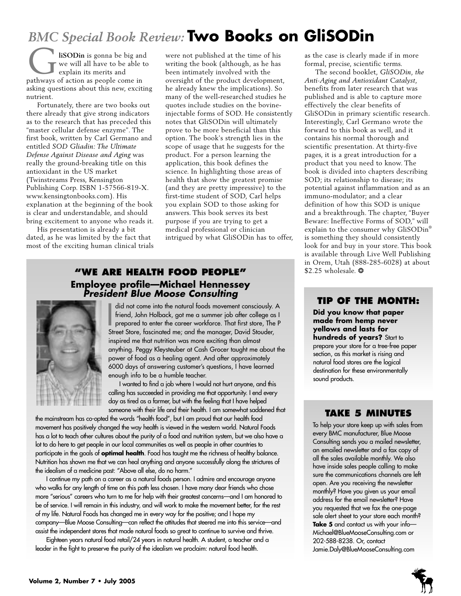# *BMC Special Book Review:* **Two Books on GliSODin**

**liSODin** is gonna be big and we will all have to be able to explain its merits and **b** is gonna be big an we will all have to be able explain its merits and pathways of action as people come in asking questions about this new, exciting nutrient.

Fortunately, there are two books out there already that give strong indicators as to the research that has preceded this "master cellular defense enzyme". The first book, written by Carl Germano and entitled *SOD Gliadin: The Ultimate Defense Against Disease and Aging* was really the ground-breaking title on this antioxidant in the US market (Twinstreams Press, Kensington Publishing Corp. ISBN 1-57566-819-X. www.kensingtonbooks.com). His explanation at the beginning of the book is clear and understandable, and should bring excitement to anyone who reads it.

His presentation is already a bit dated, as he was limited by the fact that most of the exciting human clinical trials were not published at the time of his writing the book (although, as he has been intimately involved with the oversight of the product development, he already knew the implications). So many of the well-researched studies he quotes include studies on the bovineinjectable forms of SOD. He consistently notes that GliSODin will ultimately prove to be more beneficial than this option. The book's strength lies in the scope of usage that he suggests for the product. For a person learning the application, this book defines the science. In highlighting those areas of health that show the greatest promise (and they are pretty impressive) to the first-time student of SOD, Carl helps you explain SOD to those asking for answers. This book serves its best purpose if you are trying to get a medical professional or clinician intrigued by what GliSODin has to offer,

# **"WE ARE HEALTH FOOD PEOPLE"** \$2.25 wholesale. **Employee profile—Michael Hennessey** *President Blue Moose Consulting*



did not come into the natural foods movement consciously.<br>
friend, John Holback, got me a summer job after college a<br>
prepared to enter the career workforce. That first store, The<br>
Street Store, fascinated me; and the mana did not come into the natural foods movement consciously. A friend, John Holback, got me a summer job after college as I prepared to enter the career workforce. That first store, The P inspired me that nutrition was more exciting than almost anything. Peggy Kleysteuber at Cash Grocer taught me about the power of food as a healing agent. And after approximately 6000 days of answering customer's questions, I have learned enough info to be a humble teacher.

I wanted to find a job where I would not hurt anyone, and this calling has succeeded in providing me that opportunity. I end every day as tired as a farmer, but with the feeling that I have helped someone with their life and their health. I am somewhat saddened that

the mainstream has co-opted the words "health food", but I am proud that our health food movement has positively changed the way health is viewed in the western world. Natural Foods has a lot to teach other cultures about the purity of a food and nutrition system, but we also have a lot to do here to get people in our local communities as well as people in other countries to participate in the goals of **optimal health**. Food has taught me the richness of healthy balance. Nutrition has shown me that we can heal anything and anyone successfully along the strictures of the idealism of a medicine past: "Above all else, do no harm."

I continue my path on a career as a natural foods person. I admire and encourage anyone who walks for any length of time on this path less chosen. I have many dear friends who chose more "serious" careers who turn to me for help with their greatest concerns—and I am honored to be of service. I will remain in this industry, and will work to make the movement better, for the rest of my life. Natural Foods has changed me in every way for the positive; and I hope my company—Blue Moose Consulting—can reflect the attitudes that steered me into this service—and assist the independent stores that made natural foods so great to continue to survive and thrive.

Eighteen years natural food retail/24 years in natural health. A student, a teacher and a leader in the fight to preserve the purity of the idealism we proclaim: natural food health.

as the case is clearly made if in more formal, precise, scientific terms.

The second booklet, *GliSODin, the Anti-Aging and Antioxidant Catalyst*, benefits from later research that was published and is able to capture more effectively the clear benefits of GliSODin in primary scientific research. Interestingly, Carl Germano wrote the forward to this book as well, and it contains his normal thorough and scientific presentation. At thirty-five pages, it is a great introduction for a product that you need to know. The book is divided into chapters describing SOD; its relationship to disease; its potential against inflammation and as an immuno-modulator; and a clear definition of how this SOD is unique and a breakthrough. The chapter, "Buyer Beware: Ineffective Forms of SOD," will explain to the consumer why GliSODin® is something they should consistently look for and buy in your store. This book is available through Live Well Publishing in Orem, Utah (888-285-6028) at about

# **TIP OF THE MONTH:**

**Did you know that paper made from hemp never yellows and lasts for hundreds of years?** Start to prepare your store for a tree-free paper section, as this market is rising and natural food stores are the logical destination for these environmentally sound products.

# **TAKE 5 MINUTES**

To help your store keep up with sales from every BMC manufacturer, Blue Moose Consulting sends you a mailed newsletter, an emailed newsletter and a fax copy of all the sales available monthly. We also have inside sales people calling to make sure the communications channels are left open. Are you receiving the newsletter monthly? Have you given us your email address for the email newsletter? Have you requested that we fax the one-page sale alert sheet to your store each month? **Take 5** and contact us with your info— Michael@BlueMooseConsulting.com or 202-588-8238. Or, contact Jamie.Daly@BlueMooseConsulting.com